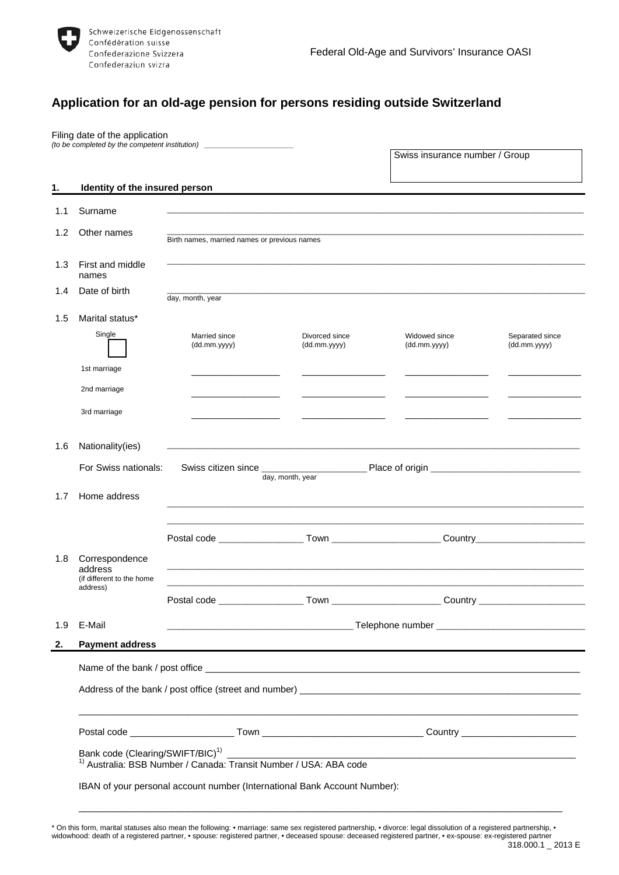

# **Application for an old-age pension for persons residing outside Switzerland**

|     | Filing date of the application                         | (to be completed by the competent institution) _________________________________                     |                                |                                |                                  |  |
|-----|--------------------------------------------------------|------------------------------------------------------------------------------------------------------|--------------------------------|--------------------------------|----------------------------------|--|
|     |                                                        |                                                                                                      |                                | Swiss insurance number / Group |                                  |  |
| 1.  | Identity of the insured person                         |                                                                                                      |                                |                                |                                  |  |
| 1.1 | Surname                                                |                                                                                                      |                                |                                |                                  |  |
| 1.2 | Other names                                            | Birth names, married names or previous names                                                         |                                |                                |                                  |  |
| 1.3 | First and middle<br>names                              |                                                                                                      |                                |                                |                                  |  |
| 1.4 | Date of birth                                          | day, month, year                                                                                     |                                |                                |                                  |  |
| 1.5 | Marital status*                                        |                                                                                                      |                                |                                |                                  |  |
|     | Single                                                 | Married since<br>(dd.mm.yyyy)                                                                        | Divorced since<br>(dd.mm.yyyy) | Widowed since<br>(dd.mm.yyyy)  | Separated since<br>(dd.mm.yyyy)  |  |
|     | 1st marriage                                           |                                                                                                      |                                |                                |                                  |  |
|     | 2nd marriage                                           |                                                                                                      |                                |                                |                                  |  |
|     | 3rd marriage                                           |                                                                                                      |                                |                                |                                  |  |
| 1.6 | Nationality(ies)                                       |                                                                                                      |                                |                                |                                  |  |
|     | For Swiss nationals:                                   |                                                                                                      | day, month, year               |                                |                                  |  |
| 1.7 | Home address                                           |                                                                                                      |                                |                                |                                  |  |
|     |                                                        |                                                                                                      |                                |                                |                                  |  |
|     |                                                        | Postal code _____________________Town _________________________Country______________________________ |                                |                                |                                  |  |
| 1.8 | Correspondence<br>address<br>(if different to the home |                                                                                                      |                                |                                |                                  |  |
|     | address)                                               |                                                                                                      |                                |                                | Country ________________________ |  |
| 1.9 | E-Mail                                                 |                                                                                                      |                                |                                |                                  |  |
| 2.  | <b>Payment address</b>                                 |                                                                                                      |                                |                                |                                  |  |
|     |                                                        |                                                                                                      |                                |                                |                                  |  |
|     |                                                        |                                                                                                      |                                |                                |                                  |  |
|     |                                                        |                                                                                                      |                                |                                |                                  |  |
|     | Bank code (Clearing/SWIFT/BIC) <sup>1)</sup>           | <sup>1)</sup> Australia: BSB Number / Canada: Transit Number / USA: ABA code                         |                                |                                |                                  |  |
|     |                                                        | IBAN of your personal account number (International Bank Account Number):                            |                                |                                |                                  |  |

\* On this form, marital statuses also mean the following: • marriage: same sex registered partnership, • divorce: legal dissolution of a registered partnership, • widowhood: death of a registered partner, • spouse: registered partner, • deceased spouse: deceased registered partner, • ex-spouse: ex-registered partner  $318.000.1 \pm 2013$   $\rm E$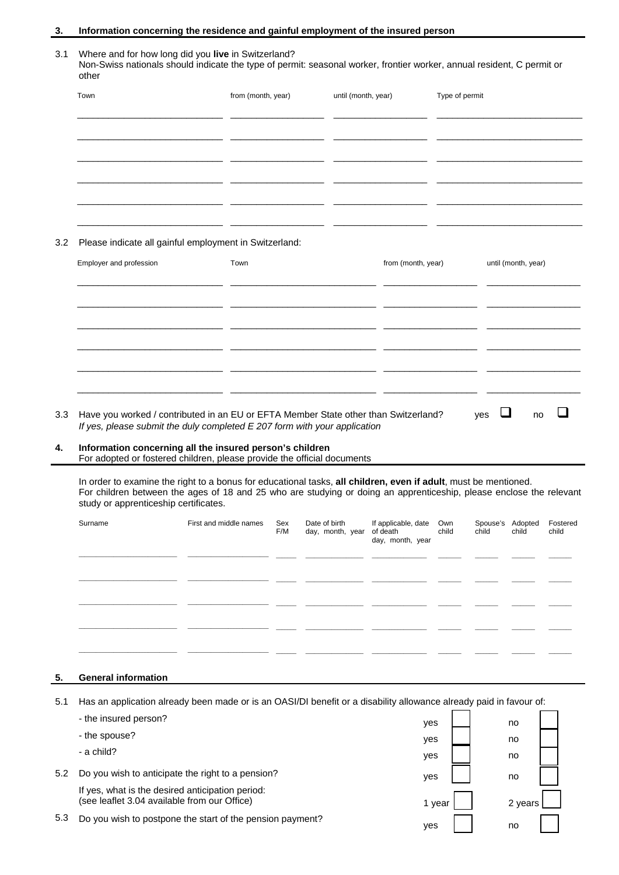# **3. Information concerning the residence and gainful employment of the insured person**

#### 3.1 Where and for how long did you **live** in Switzerland? Non-Swiss nationals should indicate the type of permit: seasonal worker, frontier worker, annual resident, C permit or other

|     | Town                                                         | from (month, year)     | until (month, year)                                 | Type of permit     |                          |
|-----|--------------------------------------------------------------|------------------------|-----------------------------------------------------|--------------------|--------------------------|
|     |                                                              |                        |                                                     |                    |                          |
|     | ___                                                          |                        |                                                     | __ _               |                          |
|     |                                                              | ______________________ |                                                     |                    |                          |
| 3.2 | Please indicate all gainful employment in Switzerland:       |                        |                                                     |                    |                          |
|     | Employer and profession                                      | Town                   |                                                     | from (month, year) | until (month, year)      |
|     |                                                              |                        |                                                     |                    |                          |
|     | <u> 1980 - Andrea Andrews, amerikansk fotograf (d. 1914)</u> |                        | <u> 1980 - Jan Alexandro III, politik politik (</u> |                    | $\overline{\phantom{a}}$ |
|     |                                                              |                        |                                                     |                    |                          |
|     |                                                              | _ _                    |                                                     |                    |                          |

3.3 Have you worked / contributed in an EU or EFTA Member State other than Switzerland? yes  $\Box$  no  $\Box$ *If yes, please submit the duly completed E 207 form with your application* 

## **4. Information concerning all the insured person's children**  For adopted or fostered children, please provide the official documents

\_\_\_\_\_\_\_\_\_\_\_\_\_\_\_\_\_\_\_\_\_\_\_\_\_\_\_\_

In order to examine the right to a bonus for educational tasks, **all children, even if adult**, must be mentioned. For children between the ages of 18 and 25 who are studying or doing an apprenticeship, please enclose the relevant study or apprenticeship certificates.

 $\_$ 

 $\_$ 

\_\_\_\_\_\_\_\_\_\_\_\_\_\_\_\_\_\_\_\_\_\_\_\_\_\_\_\_

| Surname | First and middle names | Sex<br>F/M | Date of birth<br>day, month, year | If applicable, date Own<br>of death child<br>day, month, year | child | Spouse's Adopted<br>child | Fostered<br>child |
|---------|------------------------|------------|-----------------------------------|---------------------------------------------------------------|-------|---------------------------|-------------------|
|         |                        |            |                                   |                                                               |       |                           |                   |
|         |                        |            |                                   |                                                               |       |                           |                   |
|         |                        |            |                                   |                                                               |       |                           |                   |
|         |                        |            |                                   |                                                               |       |                           |                   |
|         |                        |            |                                   |                                                               |       |                           |                   |

# **5. General information**

5.1 Has an application already been made or is an OASI/DI benefit or a disability allowance already paid in favour of:

|     | - the insured person?                                                                            | yes    | no      |  |
|-----|--------------------------------------------------------------------------------------------------|--------|---------|--|
|     | - the spouse?                                                                                    | yes    | no      |  |
|     | - a child?                                                                                       | yes    | no      |  |
| 5.2 | Do you wish to anticipate the right to a pension?                                                | yes    | no      |  |
|     | If yes, what is the desired anticipation period:<br>(see leaflet 3.04 available from our Office) | 1 vear | 2 years |  |
| 5.3 | Do you wish to postpone the start of the pension payment?                                        | ves    | no      |  |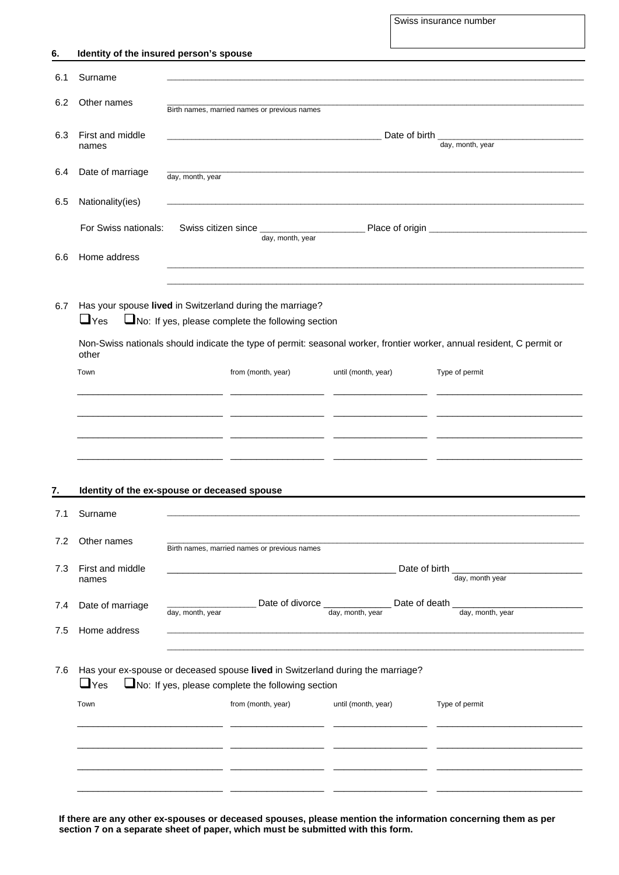Swiss insurance number

| 6.  | Identity of the insured person's spouse      |                  |                                                                                                                                      |                     |                                                                                                                        |  |  |
|-----|----------------------------------------------|------------------|--------------------------------------------------------------------------------------------------------------------------------------|---------------------|------------------------------------------------------------------------------------------------------------------------|--|--|
| 6.1 | Surname                                      |                  |                                                                                                                                      |                     |                                                                                                                        |  |  |
| 6.2 | Other names                                  |                  | Birth names, married names or previous names                                                                                         |                     |                                                                                                                        |  |  |
| 6.3 | First and middle<br>names                    | day, month, year |                                                                                                                                      |                     |                                                                                                                        |  |  |
| 6.4 | Date of marriage                             | day, month, year |                                                                                                                                      |                     |                                                                                                                        |  |  |
| 6.5 | Nationality(ies)                             |                  |                                                                                                                                      |                     |                                                                                                                        |  |  |
|     | For Swiss nationals:                         |                  | day, month, year                                                                                                                     |                     |                                                                                                                        |  |  |
| 6.6 | Home address                                 |                  |                                                                                                                                      |                     |                                                                                                                        |  |  |
| 6.7 | $\sqcup$ Yes<br>other                        |                  | Has your spouse lived in Switzerland during the marriage?<br>No: If yes, please complete the following section                       |                     | Non-Swiss nationals should indicate the type of permit: seasonal worker, frontier worker, annual resident, C permit or |  |  |
|     | Town                                         |                  | from (month, year)                                                                                                                   | until (month, year) | Type of permit                                                                                                         |  |  |
|     |                                              |                  |                                                                                                                                      |                     |                                                                                                                        |  |  |
|     |                                              |                  |                                                                                                                                      |                     |                                                                                                                        |  |  |
|     |                                              |                  |                                                                                                                                      |                     |                                                                                                                        |  |  |
|     |                                              |                  |                                                                                                                                      |                     |                                                                                                                        |  |  |
| 7.  | Identity of the ex-spouse or deceased spouse |                  |                                                                                                                                      |                     |                                                                                                                        |  |  |
| 7.1 | Surname                                      |                  |                                                                                                                                      |                     |                                                                                                                        |  |  |
| 7.2 | Other names                                  |                  | Birth names, married names or previous names                                                                                         |                     |                                                                                                                        |  |  |
| 7.3 | First and middle<br>names                    |                  |                                                                                                                                      | Date of birth       | day, month year                                                                                                        |  |  |
| 7.4 | Date of marriage                             |                  | Date of divorce _                                                                                                                    | Date of death       |                                                                                                                        |  |  |
| 7.5 | Home address                                 | day, month, year |                                                                                                                                      | day, month, year    | day, month, year                                                                                                       |  |  |
|     |                                              |                  |                                                                                                                                      |                     |                                                                                                                        |  |  |
| 7.6 | $\sqcup$ Yes                                 |                  | Has your ex-spouse or deceased spouse lived in Switzerland during the marriage?<br>No: If yes, please complete the following section |                     |                                                                                                                        |  |  |
|     | Town                                         |                  | from (month, year)                                                                                                                   | until (month, year) | Type of permit                                                                                                         |  |  |
|     |                                              |                  |                                                                                                                                      |                     |                                                                                                                        |  |  |
|     |                                              |                  |                                                                                                                                      |                     |                                                                                                                        |  |  |
|     |                                              |                  |                                                                                                                                      |                     |                                                                                                                        |  |  |
|     |                                              |                  |                                                                                                                                      |                     |                                                                                                                        |  |  |

 **If there are any other ex-spouses or deceased spouses, please mention the information concerning them as per section 7 on a separate sheet of paper, which must be submitted with this form.**